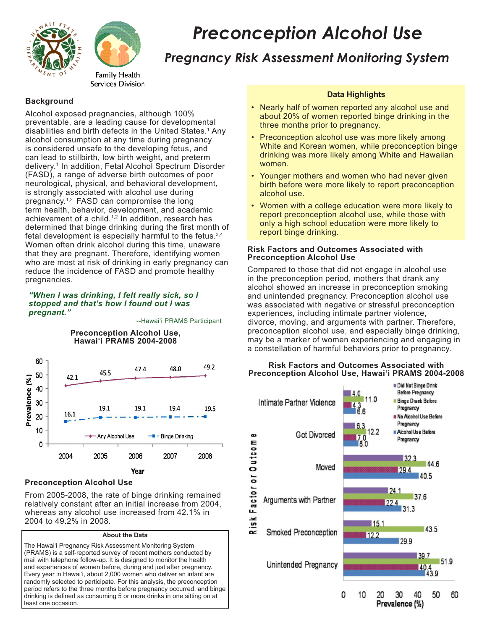



# *Preconception Alcohol Use*

# *Pregnancy Risk Assessment Monitoring System*

# **Background**

Alcohol exposed pregnancies, although 100% preventable, are a leading cause for developmental disabilities and birth defects in the United States.<sup>1</sup> Any alcohol consumption at any time during pregnancy is considered unsafe to the developing fetus, and can lead to stillbirth, low birth weight, and preterm delivery. <sup>1</sup> In addition, Fetal Alcohol Spectrum Disorder (FASD), a range of adverse birth outcomes of poor neurological, physical, and behavioral development, is strongly associated with alcohol use during pregnancy.<sup>1,2</sup> FASD can compromise the long term health, behavior, development, and academic achievement of a child.<sup>1,2</sup> In addition, research has determined that binge drinking during the first month of fetal development is especially harmful to the fetus.3,4 Women often drink alcohol during this time, unaware that they are pregnant. Therefore, identifying women who are most at risk of drinking in early pregnancy can reduce the incidence of FASD and promote healthy pregnancies.

#### *"When I was drinking, I felt really sick, so I stopped and that's how I found out I was pregnant."*

--Hawai'i PRAMS Participant



### **Preconception Alcohol Use**

From 2005-2008, the rate of binge drinking remained relatively constant after an initial increase from 2004, whereas any alcohol use increased from 42.1% in 2004 to 49.2% in 2008.

#### **About the Data**

The Hawai'i Pregnancy Risk Assessment Monitoring System (PRAMS) is a self-reported survey of recent mothers conducted by mail with telephone follow-up. It is designed to monitor the health and experiences of women before, during and just after pregnancy. Every year in Hawai'i, about 2,000 women who deliver an infant are randomly selected to participate. For this analysis, the preconception period refers to the three months before pregnancy occurred, and binge drinking is defined as consuming 5 or more drinks in one sitting on at least one occasion.

# **Data Highlights**

- Nearly half of women reported any alcohol use and about 20% of women reported binge drinking in the three months prior to pregnancy.
- Preconception alcohol use was more likely among White and Korean women, while preconception binge drinking was more likely among White and Hawaiian women.
- Younger mothers and women who had never given birth before were more likely to report preconception alcohol use.
- Women with a college education were more likely to report preconception alcohol use, while those with only a high school education were more likely to report binge drinking.

#### **Risk Factors and Outcomes Associated with Preconception Alcohol Use**

Compared to those that did not engage in alcohol use in the preconception period, mothers that drank any alcohol showed an increase in preconception smoking and unintended pregnancy. Preconception alcohol use was associated with negative or stressful preconception experiences, including intimate partner violence, divorce, moving, and arguments with partner. Therefore, preconception alcohol use, and especially binge drinking, may be a marker of women experiencing and engaging in a constellation of harmful behaviors prior to pregnancy.



#### **Risk Factors and Outcomes Associated with Preconception Alcohol Use, Hawai'i PRAMS 2004-2008**